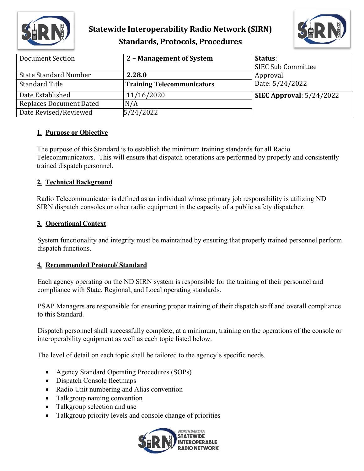

## **Statewide Interoperability Radio Network (SIRN) Standards, Protocols, Procedures**



| Document Section             | 2 - Management of System          | Status:<br><b>SIEC Sub Committee</b> |
|------------------------------|-----------------------------------|--------------------------------------|
| <b>State Standard Number</b> | 2.28.0                            | Approval                             |
| <b>Standard Title</b>        | <b>Training Telecommunicators</b> | Date: 5/24/2022                      |
| Date Established             | 11/16/2020                        | SIEC Approval: $5/24/2022$           |
| Replaces Document Dated      | N/A                               |                                      |
| Date Revised/Reviewed        | 5/24/2022                         |                                      |

### **1. Purpose or Objective**

The purpose of this Standard is to establish the minimum training standards for all Radio Telecommunicators. This will ensure that dispatch operations are performed by properly and consistently trained dispatch personnel.

### **2. Technical Background**

Radio Telecommunicator is defined as an individual whose primary job responsibility is utilizing ND SIRN dispatch consoles or other radio equipment in the capacity of a public safety dispatcher.

### **3. Operational Context**

System functionality and integrity must be maintained by ensuring that properly trained personnel perform dispatch functions.

### **4. Recommended Protocol/ Standard**

Each agency operating on the ND SIRN system is responsible for the training of their personnel and compliance with State, Regional, and Local operating standards.

PSAP Managers are responsible for ensuring proper training of their dispatch staff and overall compliance to this Standard.

Dispatch personnel shall successfully complete, at a minimum, training on the operations of the console or interoperability equipment as well as each topic listed below.

The level of detail on each topic shall be tailored to the agency's specific needs.

- Agency Standard Operating Procedures (SOPs)
- Dispatch Console fleetmaps
- Radio Unit numbering and Alias convention
- Talkgroup naming convention
- Talkgroup selection and use
- Talkgroup priority levels and console change of priorities

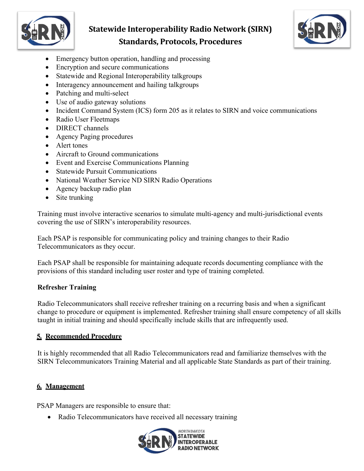

## **Statewide Interoperability Radio Network (SIRN) Standards, Protocols, Procedures**



- Emergency button operation, handling and processing
- Encryption and secure communications
- Statewide and Regional Interoperability talkgroups
- Interagency announcement and hailing talkgroups
- Patching and multi-select
- Use of audio gateway solutions
- Incident Command System (ICS) form 205 as it relates to SIRN and voice communications
- Radio User Fleetmaps
- **DIRECT** channels
- Agency Paging procedures
- Alert tones
- Aircraft to Ground communications
- Event and Exercise Communications Planning
- Statewide Pursuit Communications
- National Weather Service ND SIRN Radio Operations
- Agency backup radio plan
- Site trunking

Training must involve interactive scenarios to simulate multi-agency and multi-jurisdictional events covering the use of SIRN's interoperability resources.

Each PSAP is responsible for communicating policy and training changes to their Radio Telecommunicators as they occur.

Each PSAP shall be responsible for maintaining adequate records documenting compliance with the provisions of this standard including user roster and type of training completed.

## **Refresher Training**

Radio Telecommunicators shall receive refresher training on a recurring basis and when a significant change to procedure or equipment is implemented. Refresher training shall ensure competency of all skills taught in initial training and should specifically include skills that are infrequently used.

## **5. Recommended Procedure**

It is highly recommended that all Radio Telecommunicators read and familiarize themselves with the SIRN Telecommunicators Training Material and all applicable State Standards as part of their training.

## **6. Management**

PSAP Managers are responsible to ensure that:

• Radio Telecommunicators have received all necessary training